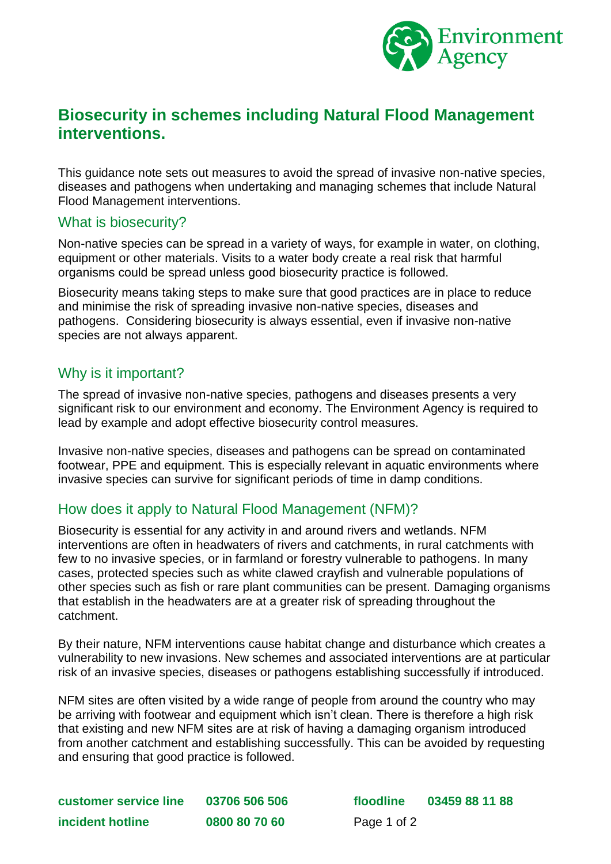

# **Biosecurity in schemes including Natural Flood Management interventions.**

This guidance note sets out measures to avoid the spread of invasive non-native species, diseases and pathogens when undertaking and managing schemes that include Natural Flood Management interventions.

#### What is biosecurity?

Non-native species can be spread in a variety of ways, for example in water, on clothing, equipment or other materials. Visits to a water body create a real risk that harmful organisms could be spread unless good biosecurity practice is followed.

Biosecurity means taking steps to make sure that good practices are in place to reduce and minimise the risk of spreading invasive non-native species, diseases and pathogens. Considering biosecurity is always essential, even if invasive non-native species are not always apparent.

### Why is it important?

The spread of invasive non-native species, pathogens and diseases presents a very significant risk to our environment and economy. The Environment Agency is required to lead by example and adopt effective biosecurity control measures.

Invasive non-native species, diseases and pathogens can be spread on contaminated footwear, PPE and equipment. This is especially relevant in aquatic environments where invasive species can survive for significant periods of time in damp conditions.

### How does it apply to Natural Flood Management (NFM)?

Biosecurity is essential for any activity in and around rivers and wetlands. NFM interventions are often in headwaters of rivers and catchments, in rural catchments with few to no invasive species, or in farmland or forestry vulnerable to pathogens. In many cases, protected species such as white clawed crayfish and vulnerable populations of other species such as fish or rare plant communities can be present. Damaging organisms that establish in the headwaters are at a greater risk of spreading throughout the catchment.

By their nature, NFM interventions cause habitat change and disturbance which creates a vulnerability to new invasions. New schemes and associated interventions are at particular risk of an invasive species, diseases or pathogens establishing successfully if introduced.

NFM sites are often visited by a wide range of people from around the country who may be arriving with footwear and equipment which isn't clean. There is therefore a high risk that existing and new NFM sites are at risk of having a damaging organism introduced from another catchment and establishing successfully. This can be avoided by requesting and ensuring that good practice is followed.

**customer service line 03706 506 506 floodline 03459 88 11 88 incident hotline 0800 80 70 60** Page 1 of 2